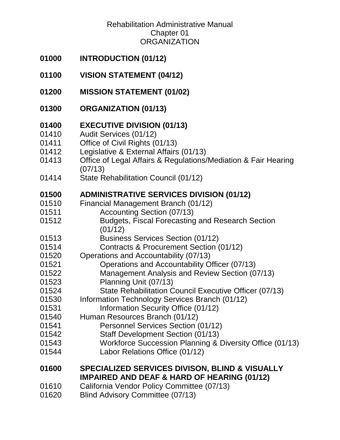- **[INTRODUCTION \(01/12\)](#page-2-0)**
- **[VISION STATEMENT \(04/12\)](#page-2-1)**
- **[MISSION STATEMENT \(01/02\)](#page-2-2)**
- **[ORGANIZATION \(01/13\)](#page-2-3)**

## **[EXECUTIVE DIVISION \(01/13\)](#page-3-0)**

- [Audit Services \(01/12\)](#page-3-1)
- [Office of Civil Rights \(01/13\)](#page-3-2)
- [Legislative & External Affairs \(01/13\)](#page-4-0)
- [Office of Legal Affairs & Regulations/Mediation & Fair Hearing](#page-4-1)  [\(07/13\)](#page-4-1)
- [01414 State Rehabilitation Council \(01/12\)](#page-5-0)

### **[01500 ADMINISTRATIVE SERVICES DIVISION \(01/12\)](#page-6-0)**

- [Financial Management Branch \(01/12\)](#page-6-1)
- [Accounting Section \(07/13\)](#page-6-2)
- [Budgets, Fiscal Forecasting and Research Section](#page-7-0)  [\(01/12\)](#page-7-0)
- [Business Services Section \(01/12\)](#page-7-1)
- [Contracts & Procurement Section \(01/12\)](#page-7-2)
- [Operations and Accountability \(07/13\)](#page-8-0)
- [Operations and Accountability Officer \(07/13\)](#page-8-1)
- [Management Analysis and Review Section \(07/13\)](#page-9-0)
- [Planning Unit \(07/13\)](#page-9-1)
- [State Rehabilitation Council Executive Officer \(07/13\)](#page-9-2)
- [Information Technology Services Branch \(01/12\)](#page-10-0)
- [Information Security Office \(01/12\)](#page-10-1)
- [Human Resources Branch \(01/12\)](#page-10-2)
- [Personnel Services Section \(01/12\)](#page-11-0)
- [Staff Development Section \(01/13\)](#page-11-1)
- [Workforce Succession Planning & Diversity Office \(01/13\)](#page-11-2)
- [Labor Relations Office \(01/12\)](#page-11-3)

## **SPECIALIZED SERVICES [DIVISON, BLIND & VISUALLY](#page-13-0)  [IMPAIRED AND DEAF & HARD OF HEARING \(01/12\)](#page-13-0)**

- [California Vendor Policy Committee \(07/13\)](#page-13-1)
- [Blind Advisory Committee \(07/13\)](#page-13-2)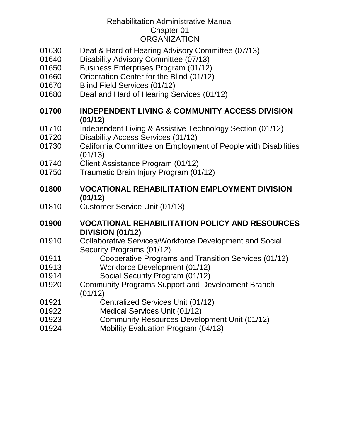- [Deaf & Hard of Hearing Advisory Committee \(07/13\)](#page-14-0)
- [Disability Advisory Committee \(07/13\)](#page-14-1)
- [Business Enterprises Program \(01/12\)](#page-14-2)
- [Orientation Center for the Blind \(01/12\)](#page-15-0)
- [Blind Field Services \(01/12\)](#page-15-1)
- [Deaf and Hard of Hearing Services \(01/12\)](#page-15-2)
- **INDEPENDENT LIVING & [COMMUNITY ACCESS DIVISION](#page-16-0)  [\(01/12\)](#page-16-0)**
- [Independent Living & Assistive Technology Section \(01/12\)](#page-16-1)
- [Disability Access Services \(01/12\)](#page-17-0)
- [California Committee on Employment of People with Disabilities](#page-17-1)  [\(01/13\)](#page-17-1)
- [Client Assistance Program \(01/12\)](#page-18-0)
- [Traumatic Brain Injury Program \(01/12\)](#page-18-1)

#### **[VOCATIONAL REHABILITATION EMPLOYMENT DIVISION](#page-19-0)  [\(01/12\)](#page-19-0)**

[Customer Service Unit \(01/13\)](#page-19-1)

#### **[VOCATIONAL REHABILITATION POLICY AND RESOURCES](#page-20-0)  [DIVISION \(01/12\)](#page-20-0)**

- [Collaborative Services/Workforce Development and Social](#page-20-1) [Security Programs \(01/12\)](#page-20-1)
- [Cooperative Programs and Transition Services \(01/12\)](#page-20-2) [Workforce Development \(01/12\)](#page-21-0)
- [Social Security Program \(01/12\)](#page-21-1)
- [Community Programs Support and Development Branch](#page-22-0)  [\(01/12\)](#page-22-0)
- [Centralized Services Unit \(01/12\)](#page-22-1)
- [Medical Services Unit \(01/12\)](#page-23-0)
- [Community Resources Development Unit \(01/12\)](#page-23-1)
- [Mobility Evaluation Program \(04/13\)](#page-24-0)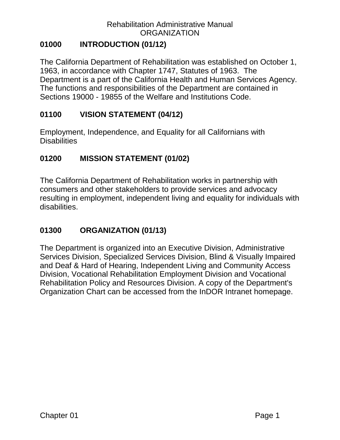## <span id="page-2-0"></span>**01000 INTRODUCTION (01/12)**

The California Department of Rehabilitation was established on October 1, 1963, in accordance with Chapter 1747, Statutes of 1963. The Department is a part of the California Health and Human Services Agency. The functions and responsibilities of the Department are contained in Sections 19000 - 19855 of the Welfare and Institutions Code.

#### <span id="page-2-1"></span>**01100 VISION STATEMENT (04/12)**

Employment, Independence, and Equality for all Californians with **Disabilities** 

### <span id="page-2-2"></span>**01200 MISSION STATEMENT (01/02)**

The California Department of Rehabilitation works in partnership with consumers and other stakeholders to provide services and advocacy resulting in employment, independent living and equality for individuals with disabilities.

### <span id="page-2-3"></span>**01300 ORGANIZATION (01/13)**

The Department is organized into an Executive Division, Administrative Services Division, Specialized Services Division, Blind & Visually Impaired and Deaf & Hard of Hearing, Independent Living and Community Access Division, Vocational Rehabilitation Employment Division and Vocational Rehabilitation Policy and Resources Division. A copy of the Department's Organization Chart can be accessed from the InDOR Intranet homepage.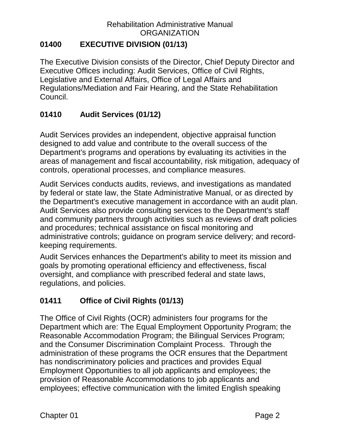### <span id="page-3-0"></span>**01400 EXECUTIVE DIVISION (01/13)**

The Executive Division consists of the Director, Chief Deputy Director and Executive Offices including: Audit Services, Office of Civil Rights, Legislative and External Affairs, Office of Legal Affairs and Regulations/Mediation and Fair Hearing, and the State Rehabilitation Council.

# <span id="page-3-1"></span>**01410 Audit Services (01/12)**

Audit Services provides an independent, objective appraisal function designed to add value and contribute to the overall success of the Department's programs and operations by evaluating its activities in the areas of management and fiscal accountability, risk mitigation, adequacy of controls, operational processes, and compliance measures.

Audit Services conducts audits, reviews, and investigations as mandated by federal or state law, the State Administrative Manual, or as directed by the Department's executive management in accordance with an audit plan. Audit Services also provide consulting services to the Department's staff and community partners through activities such as reviews of draft policies and procedures; technical assistance on fiscal monitoring and administrative controls; guidance on program service delivery; and recordkeeping requirements.

Audit Services enhances the Department's ability to meet its mission and goals by promoting operational efficiency and effectiveness, fiscal oversight, and compliance with prescribed federal and state laws, regulations, and policies.

# <span id="page-3-2"></span>**01411 Office of Civil Rights (01/13)**

The Office of Civil Rights (OCR) administers four programs for the Department which are: The Equal Employment Opportunity Program; the Reasonable Accommodation Program; the Bilingual Services Program; and the Consumer Discrimination Complaint Process. Through the administration of these programs the OCR ensures that the Department has nondiscriminatory policies and practices and provides Equal Employment Opportunities to all job applicants and employees; the provision of Reasonable Accommodations to job applicants and employees; effective communication with the limited English speaking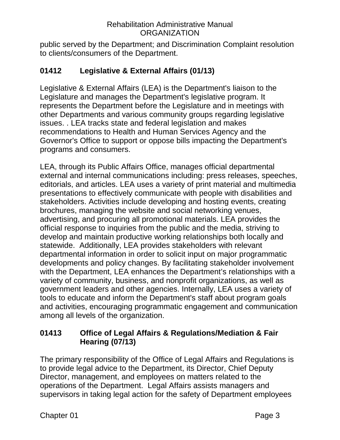public served by the Department; and Discrimination Complaint resolution to clients/consumers of the Department.

## <span id="page-4-0"></span>**01412 Legislative & External Affairs (01/13)**

Legislative & External Affairs (LEA) is the Department's liaison to the Legislature and manages the Department's legislative program. It represents the Department before the Legislature and in meetings with other Departments and various community groups regarding legislative issues. . LEA tracks state and federal legislation and makes recommendations to Health and Human Services Agency and the Governor's Office to support or oppose bills impacting the Department's programs and consumers.

LEA, through its Public Affairs Office, manages official departmental external and internal communications including: press releases, speeches, editorials, and articles. LEA uses a variety of print material and multimedia presentations to effectively communicate with people with disabilities and stakeholders. Activities include developing and hosting events, creating brochures, managing the website and social networking venues, advertising, and procuring all promotional materials. LEA provides the official response to inquiries from the public and the media, striving to develop and maintain productive working relationships both locally and statewide. Additionally, LEA provides stakeholders with relevant departmental information in order to solicit input on major programmatic developments and policy changes. By facilitating stakeholder involvement with the Department, LEA enhances the Department's relationships with a variety of community, business, and nonprofit organizations, as well as government leaders and other agencies. Internally, LEA uses a variety of tools to educate and inform the Department's staff about program goals and activities, encouraging programmatic engagement and communication among all levels of the organization.

### <span id="page-4-1"></span>**01413 Office of Legal Affairs & Regulations/Mediation & Fair Hearing (07/13)**

The primary responsibility of the Office of Legal Affairs and Regulations is to provide legal advice to the Department, its Director, Chief Deputy Director, management, and employees on matters related to the operations of the Department. Legal Affairs assists managers and supervisors in taking legal action for the safety of Department employees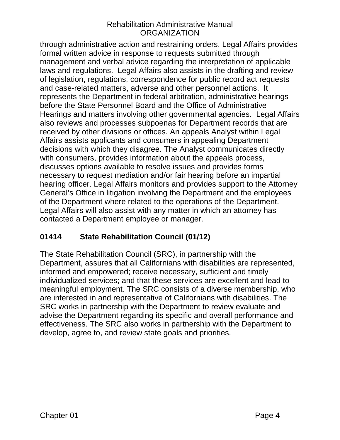through administrative action and restraining orders. Legal Affairs provides formal written advice in response to requests submitted through management and verbal advice regarding the interpretation of applicable laws and regulations. Legal Affairs also assists in the drafting and review of legislation, regulations, correspondence for public record act requests and case-related matters, adverse and other personnel actions. It represents the Department in federal arbitration, administrative hearings before the State Personnel Board and the Office of Administrative Hearings and matters involving other governmental agencies. Legal Affairs also reviews and processes subpoenas for Department records that are received by other divisions or offices. An appeals Analyst within Legal Affairs assists applicants and consumers in appealing Department decisions with which they disagree. The Analyst communicates directly with consumers, provides information about the appeals process, discusses options available to resolve issues and provides forms necessary to request mediation and/or fair hearing before an impartial hearing officer. Legal Affairs monitors and provides support to the Attorney General's Office in litigation involving the Department and the employees of the Department where related to the operations of the Department. Legal Affairs will also assist with any matter in which an attorney has contacted a Department employee or manager.

## <span id="page-5-0"></span>**01414 State Rehabilitation Council (01/12)**

The State Rehabilitation Council (SRC), in partnership with the Department, assures that all Californians with disabilities are represented, informed and empowered; receive necessary, sufficient and timely individualized services; and that these services are excellent and lead to meaningful employment. The SRC consists of a diverse membership, who are interested in and representative of Californians with disabilities. The SRC works in partnership with the Department to review evaluate and advise the Department regarding its specific and overall performance and effectiveness. The SRC also works in partnership with the Department to develop, agree to, and review state goals and priorities.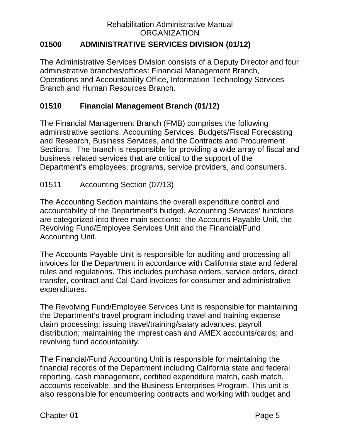## <span id="page-6-0"></span>**01500 ADMINISTRATIVE SERVICES DIVISION (01/12)**

The Administrative Services Division consists of a Deputy Director and four administrative branches/offices: Financial Management Branch, Operations and Accountability Office, Information Technology Services Branch and Human Resources Branch.

## <span id="page-6-1"></span>**01510 Financial Management Branch (01/12)**

The Financial Management Branch (FMB) comprises the following administrative sections: Accounting Services, Budgets/Fiscal Forecasting and Research, Business Services, and the Contracts and Procurement Sections. The branch is responsible for providing a wide array of fiscal and business related services that are critical to the support of the Department's employees, programs, service providers, and consumers.

### <span id="page-6-2"></span>01511 Accounting Section (07/13)

The Accounting Section maintains the overall expenditure control and accountability of the Department's budget. Accounting Services' functions are categorized into three main sections: the Accounts Payable Unit, the Revolving Fund/Employee Services Unit and the Financial/Fund Accounting Unit.

The Accounts Payable Unit is responsible for auditing and processing all invoices for the Department in accordance with California state and federal rules and regulations. This includes purchase orders, service orders, direct transfer, contract and Cal-Card invoices for consumer and administrative expenditures.

The Revolving Fund/Employee Services Unit is responsible for maintaining the Department's travel program including travel and training expense claim processing; issuing travel/training/salary advances; payroll distribution; maintaining the imprest cash and AMEX accounts/cards; and revolving fund accountability.

The Financial/Fund Accounting Unit is responsible for maintaining the financial records of the Department including California state and federal reporting, cash management, certified expenditure match, cash match, accounts receivable, and the Business Enterprises Program. This unit is also responsible for encumbering contracts and working with budget and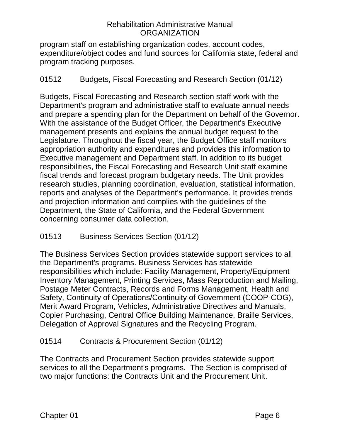program staff on establishing organization codes, account codes, expenditure/object codes and fund sources for California state, federal and program tracking purposes.

#### <span id="page-7-0"></span>01512 Budgets, Fiscal Forecasting and Research Section (01/12)

Budgets, Fiscal Forecasting and Research section staff work with the Department's program and administrative staff to evaluate annual needs and prepare a spending plan for the Department on behalf of the Governor. With the assistance of the Budget Officer, the Department's Executive management presents and explains the annual budget request to the Legislature. Throughout the fiscal year, the Budget Office staff monitors appropriation authority and expenditures and provides this information to Executive management and Department staff. In addition to its budget responsibilities, the Fiscal Forecasting and Research Unit staff examine fiscal trends and forecast program budgetary needs. The Unit provides research studies, planning coordination, evaluation, statistical information, reports and analyses of the Department's performance. It provides trends and projection information and complies with the guidelines of the Department, the State of California, and the Federal Government concerning consumer data collection.

### <span id="page-7-1"></span>01513 Business Services Section (01/12)

The Business Services Section provides statewide support services to all the Department's programs. Business Services has statewide responsibilities which include: Facility Management, Property/Equipment Inventory Management, Printing Services, Mass Reproduction and Mailing, Postage Meter Contracts, Records and Forms Management, Health and Safety, Continuity of Operations/Continuity of Government (COOP-COG), Merit Award Program, Vehicles, Administrative Directives and Manuals, Copier Purchasing, Central Office Building Maintenance, Braille Services, Delegation of Approval Signatures and the Recycling Program.

#### <span id="page-7-2"></span>01514 Contracts & Procurement Section (01/12)

The Contracts and Procurement Section provides statewide support services to all the Department's programs. The Section is comprised of two major functions: the Contracts Unit and the Procurement Unit.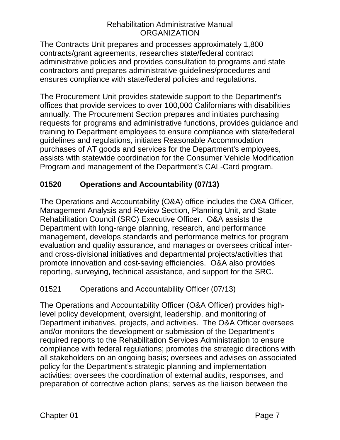The Contracts Unit prepares and processes approximately 1,800 contracts/grant agreements, researches state/federal contract administrative policies and provides consultation to programs and state contractors and prepares administrative guidelines/procedures and ensures compliance with state/federal policies and regulations.

The Procurement Unit provides statewide support to the Department's offices that provide services to over 100,000 Californians with disabilities annually. The Procurement Section prepares and initiates purchasing requests for programs and administrative functions, provides guidance and training to Department employees to ensure compliance with state/federal guidelines and regulations, initiates Reasonable Accommodation purchases of AT goods and services for the Department's employees, assists with statewide coordination for the Consumer Vehicle Modification Program and management of the Department's CAL-Card program.

# <span id="page-8-0"></span>**01520 Operations and Accountability (07/13)**

The Operations and Accountability (O&A) office includes the O&A Officer, Management Analysis and Review Section, Planning Unit, and State Rehabilitation Council (SRC) Executive Officer. O&A assists the Department with long-range planning, research, and performance management, develops standards and performance metrics for program evaluation and quality assurance, and manages or oversees critical interand cross-divisional initiatives and departmental projects/activities that promote innovation and cost-saving efficiencies. O&A also provides reporting, surveying, technical assistance, and support for the SRC.

### <span id="page-8-1"></span>01521 Operations and Accountability Officer (07/13)

The Operations and Accountability Officer (O&A Officer) provides highlevel policy development, oversight, leadership, and monitoring of Department initiatives, projects, and activities. The O&A Officer oversees and/or monitors the development or submission of the Department's required reports to the Rehabilitation Services Administration to ensure compliance with federal regulations; promotes the strategic directions with all stakeholders on an ongoing basis; oversees and advises on associated policy for the Department's strategic planning and implementation activities; oversees the coordination of external audits, responses, and preparation of corrective action plans; serves as the liaison between the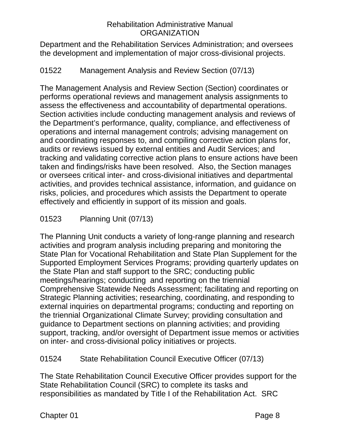Department and the Rehabilitation Services Administration; and oversees the development and implementation of major cross-divisional projects.

### <span id="page-9-0"></span>01522 Management Analysis and Review Section (07/13)

The Management Analysis and Review Section (Section) coordinates or performs operational reviews and management analysis assignments to assess the effectiveness and accountability of departmental operations. Section activities include conducting management analysis and reviews of the Department's performance, quality, compliance, and effectiveness of operations and internal management controls; advising management on and coordinating responses to, and compiling corrective action plans for, audits or reviews issued by external entities and Audit Services; and tracking and validating corrective action plans to ensure actions have been taken and findings/risks have been resolved. Also, the Section manages or oversees critical inter- and cross-divisional initiatives and departmental activities, and provides technical assistance, information, and guidance on risks, policies, and procedures which assists the Department to operate effectively and efficiently in support of its mission and goals.

## <span id="page-9-1"></span>01523 Planning Unit (07/13)

The Planning Unit conducts a variety of long-range planning and research activities and program analysis including preparing and monitoring the State Plan for Vocational Rehabilitation and State Plan Supplement for the Supported Employment Services Programs; providing quarterly updates on the State Plan and staff support to the SRC; conducting public meetings/hearings; conducting and reporting on the triennial Comprehensive Statewide Needs Assessment; facilitating and reporting on Strategic Planning activities; researching, coordinating, and responding to external inquiries on departmental programs; conducting and reporting on the triennial Organizational Climate Survey; providing consultation and guidance to Department sections on planning activities; and providing support, tracking, and/or oversight of Department issue memos or activities on inter- and cross-divisional policy initiatives or projects.

#### <span id="page-9-2"></span>01524 State Rehabilitation Council Executive Officer (07/13)

The State Rehabilitation Council Executive Officer provides support for the State Rehabilitation Council (SRC) to complete its tasks and responsibilities as mandated by Title I of the Rehabilitation Act. SRC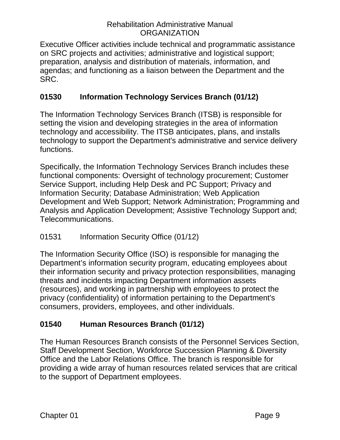Executive Officer activities include technical and programmatic assistance on SRC projects and activities; administrative and logistical support; preparation, analysis and distribution of materials, information, and agendas; and functioning as a liaison between the Department and the SRC.

## <span id="page-10-0"></span>**01530 Information Technology Services Branch (01/12)**

The Information Technology Services Branch (ITSB) is responsible for setting the vision and developing strategies in the area of information technology and accessibility. The ITSB anticipates, plans, and installs technology to support the Department's administrative and service delivery functions.

Specifically, the Information Technology Services Branch includes these functional components: Oversight of technology procurement; Customer Service Support, including Help Desk and PC Support; Privacy and Information Security; Database Administration; Web Application Development and Web Support; Network Administration; Programming and Analysis and Application Development; Assistive Technology Support and; Telecommunications.

### <span id="page-10-1"></span>01531 Information Security Office (01/12)

The Information Security Office (ISO) is responsible for managing the Department's information security program, educating employees about their information security and privacy protection responsibilities, managing threats and incidents impacting Department information assets (resources), and working in partnership with employees to protect the privacy (confidentiality) of information pertaining to the Department's consumers, providers, employees, and other individuals.

## <span id="page-10-2"></span>**01540 Human Resources Branch (01/12)**

The Human Resources Branch consists of the Personnel Services Section, Staff Development Section, Workforce Succession Planning & Diversity Office and the Labor Relations Office. The branch is responsible for providing a wide array of human resources related services that are critical to the support of Department employees.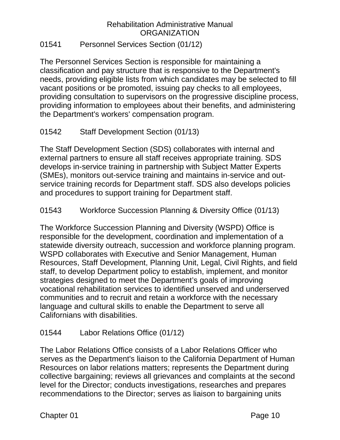#### <span id="page-11-0"></span>01541 Personnel Services Section (01/12)

The Personnel Services Section is responsible for maintaining a classification and pay structure that is responsive to the Department's needs, providing eligible lists from which candidates may be selected to fill vacant positions or be promoted, issuing pay checks to all employees, providing consultation to supervisors on the progressive discipline process, providing information to employees about their benefits, and administering the Department's workers' compensation program.

### <span id="page-11-1"></span>01542 Staff Development Section (01/13)

The Staff Development Section (SDS) collaborates with internal and external partners to ensure all staff receives appropriate training. SDS develops in-service training in partnership with Subject Matter Experts (SMEs), monitors out-service training and maintains in-service and outservice training records for Department staff. SDS also develops policies and procedures to support training for Department staff.

#### <span id="page-11-2"></span>01543 Workforce Succession Planning & Diversity Office (01/13)

The Workforce Succession Planning and Diversity (WSPD) Office is responsible for the development, coordination and implementation of a statewide diversity outreach, succession and workforce planning program. WSPD collaborates with Executive and Senior Management, Human Resources, Staff Development, Planning Unit, Legal, Civil Rights, and field staff, to develop Department policy to establish, implement, and monitor strategies designed to meet the Department's goals of improving vocational rehabilitation services to identified unserved and underserved communities and to recruit and retain a workforce with the necessary language and cultural skills to enable the Department to serve all Californians with disabilities.

### <span id="page-11-3"></span>01544 Labor Relations Office (01/12)

The Labor Relations Office consists of a Labor Relations Officer who serves as the Department's liaison to the California Department of Human Resources on labor relations matters; represents the Department during collective bargaining; reviews all grievances and complaints at the second level for the Director; conducts investigations, researches and prepares recommendations to the Director; serves as liaison to bargaining units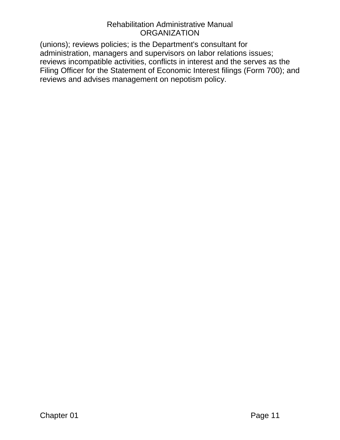(unions); reviews policies; is the Department's consultant for administration, managers and supervisors on labor relations issues; reviews incompatible activities, conflicts in interest and the serves as the Filing Officer for the Statement of Economic Interest filings (Form 700); and reviews and advises management on nepotism policy.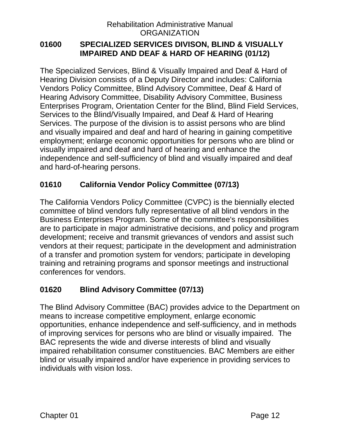#### <span id="page-13-0"></span>**01600 SPECIALIZED SERVICES DIVISON, BLIND & VISUALLY IMPAIRED AND DEAF & HARD OF HEARING (01/12)**

The Specialized Services, Blind & Visually Impaired and Deaf & Hard of Hearing Division consists of a Deputy Director and includes: California Vendors Policy Committee, Blind Advisory Committee, Deaf & Hard of Hearing Advisory Committee, Disability Advisory Committee, Business Enterprises Program, Orientation Center for the Blind, Blind Field Services, Services to the Blind/Visually Impaired, and Deaf & Hard of Hearing Services. The purpose of the division is to assist persons who are blind and visually impaired and deaf and hard of hearing in gaining competitive employment; enlarge economic opportunities for persons who are blind or visually impaired and deaf and hard of hearing and enhance the independence and self-sufficiency of blind and visually impaired and deaf and hard-of-hearing persons.

## <span id="page-13-1"></span>**01610 California Vendor Policy Committee (07/13)**

The California Vendors Policy Committee (CVPC) is the biennially elected committee of blind vendors fully representative of all blind vendors in the Business Enterprises Program. Some of the committee's responsibilities are to participate in major administrative decisions, and policy and program development; receive and transmit grievances of vendors and assist such vendors at their request; participate in the development and administration of a transfer and promotion system for vendors; participate in developing training and retraining programs and sponsor meetings and instructional conferences for vendors.

## <span id="page-13-2"></span>**01620 Blind Advisory Committee (07/13)**

The Blind Advisory Committee (BAC) provides advice to the Department on means to increase competitive employment, enlarge economic opportunities, enhance independence and self-sufficiency, and in methods of improving services for persons who are blind or visually impaired. The BAC represents the wide and diverse interests of blind and visually impaired rehabilitation consumer constituencies. BAC Members are either blind or visually impaired and/or have experience in providing services to individuals with vision loss.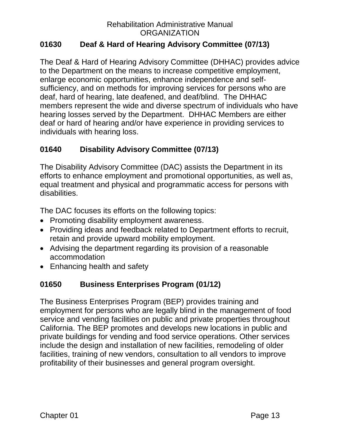### <span id="page-14-0"></span>**01630 Deaf & Hard of Hearing Advisory Committee (07/13)**

The Deaf & Hard of Hearing Advisory Committee (DHHAC) provides advice to the Department on the means to increase competitive employment, enlarge economic opportunities, enhance independence and selfsufficiency, and on methods for improving services for persons who are deaf, hard of hearing, late deafened, and deaf/blind. The DHHAC members represent the wide and diverse spectrum of individuals who have hearing losses served by the Department. DHHAC Members are either deaf or hard of hearing and/or have experience in providing services to individuals with hearing loss.

### <span id="page-14-1"></span>**01640 Disability Advisory Committee (07/13)**

The Disability Advisory Committee (DAC) assists the Department in its efforts to enhance employment and promotional opportunities, as well as, equal treatment and physical and programmatic access for persons with disabilities.

The DAC focuses its efforts on the following topics:

- Promoting disability employment awareness.
- Providing ideas and feedback related to Department efforts to recruit, retain and provide upward mobility employment.
- Advising the department regarding its provision of a reasonable accommodation
- Enhancing health and safety

#### <span id="page-14-2"></span>**01650 Business Enterprises Program (01/12)**

The Business Enterprises Program (BEP) provides training and employment for persons who are legally blind in the management of food service and vending facilities on public and private properties throughout California. The BEP promotes and develops new locations in public and private buildings for vending and food service operations. Other services include the design and installation of new facilities, remodeling of older facilities, training of new vendors, consultation to all vendors to improve profitability of their businesses and general program oversight.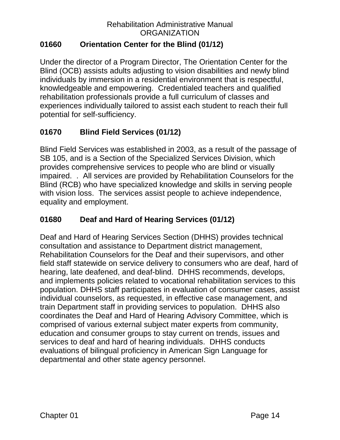## <span id="page-15-0"></span>**01660 Orientation Center for the Blind (01/12)**

Under the director of a Program Director, The Orientation Center for the Blind (OCB) assists adults adjusting to vision disabilities and newly blind individuals by immersion in a residential environment that is respectful, knowledgeable and empowering. Credentialed teachers and qualified rehabilitation professionals provide a full curriculum of classes and experiences individually tailored to assist each student to reach their full potential for self-sufficiency.

# <span id="page-15-1"></span>**01670 Blind Field Services (01/12)**

Blind Field Services was established in 2003, as a result of the passage of SB 105, and is a Section of the Specialized Services Division, which provides comprehensive services to people who are blind or visually impaired. . All services are provided by Rehabilitation Counselors for the Blind (RCB) who have specialized knowledge and skills in serving people with vision loss. The services assist people to achieve independence, equality and employment.

## <span id="page-15-2"></span>**01680 Deaf and Hard of Hearing Services (01/12)**

Deaf and Hard of Hearing Services Section (DHHS) provides technical consultation and assistance to Department district management, Rehabilitation Counselors for the Deaf and their supervisors, and other field staff statewide on service delivery to consumers who are deaf, hard of hearing, late deafened, and deaf-blind. DHHS recommends, develops, and implements policies related to vocational rehabilitation services to this population. DHHS staff participates in evaluation of consumer cases, assist individual counselors, as requested, in effective case management, and train Department staff in providing services to population. DHHS also coordinates the Deaf and Hard of Hearing Advisory Committee, which is comprised of various external subject mater experts from community, education and consumer groups to stay current on trends, issues and services to deaf and hard of hearing individuals. DHHS conducts evaluations of bilingual proficiency in American Sign Language for departmental and other state agency personnel.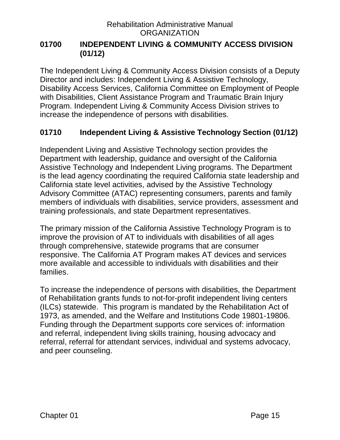#### <span id="page-16-0"></span>**01700 INDEPENDENT LIVING & COMMUNITY ACCESS DIVISION (01/12)**

The Independent Living & Community Access Division consists of a Deputy Director and includes: Independent Living & Assistive Technology, Disability Access Services, California Committee on Employment of People with Disabilities, Client Assistance Program and Traumatic Brain Injury Program. Independent Living & Community Access Division strives to increase the independence of persons with disabilities.

### <span id="page-16-1"></span>**01710 Independent Living & Assistive Technology Section (01/12)**

Independent Living and Assistive Technology section provides the Department with leadership, guidance and oversight of the California Assistive Technology and Independent Living programs. The Department is the lead agency coordinating the required California state leadership and California state level activities, advised by the Assistive Technology Advisory Committee (ATAC) representing consumers, parents and family members of individuals with disabilities, service providers, assessment and training professionals, and state Department representatives.

The primary mission of the California Assistive Technology Program is to improve the provision of AT to individuals with disabilities of all ages through comprehensive, statewide programs that are consumer responsive. The California AT Program makes AT devices and services more available and accessible to individuals with disabilities and their families.

To increase the independence of persons with disabilities, the Department of Rehabilitation grants funds to not-for-profit independent living centers (ILCs) statewide. This program is mandated by the Rehabilitation Act of 1973, as amended, and the Welfare and Institutions Code 19801-19806. Funding through the Department supports core services of: information and referral, independent living skills training, housing advocacy and referral, referral for attendant services, individual and systems advocacy, and peer counseling.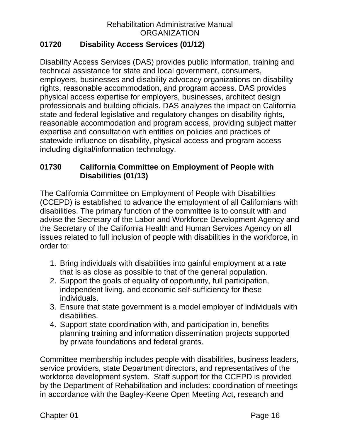## <span id="page-17-0"></span>**01720 Disability Access Services (01/12)**

Disability Access Services (DAS) provides public information, training and technical assistance for state and local government, consumers, employers, businesses and disability advocacy organizations on disability rights, reasonable accommodation, and program access. DAS provides physical access expertise for employers, businesses, architect design professionals and building officials. DAS analyzes the impact on California state and federal legislative and regulatory changes on disability rights, reasonable accommodation and program access, providing subject matter expertise and consultation with entities on policies and practices of statewide influence on disability, physical access and program access including digital/information technology.

## <span id="page-17-1"></span>**01730 California Committee on Employment of People with Disabilities (01/13)**

The California Committee on Employment of People with Disabilities (CCEPD) is established to advance the employment of all Californians with disabilities. The primary function of the committee is to consult with and advise the Secretary of the Labor and Workforce Development Agency and the Secretary of the California Health and Human Services Agency on all issues related to full inclusion of people with disabilities in the workforce, in order to:

- 1. Bring individuals with disabilities into gainful employment at a rate that is as close as possible to that of the general population.
- 2. Support the goals of equality of opportunity, full participation, independent living, and economic self-sufficiency for these individuals.
- 3. Ensure that state government is a model employer of individuals with disabilities.
- 4. Support state coordination with, and participation in, benefits planning training and information dissemination projects supported by private foundations and federal grants.

Committee membership includes people with disabilities, business leaders, service providers, state Department directors, and representatives of the workforce development system. Staff support for the CCEPD is provided by the Department of Rehabilitation and includes: coordination of meetings in accordance with the Bagley-Keene Open Meeting Act, research and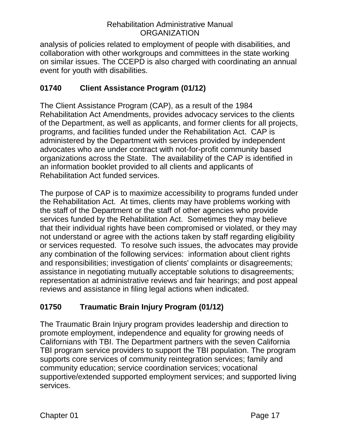analysis of policies related to employment of people with disabilities, and collaboration with other workgroups and committees in the state working on similar issues. The CCEPD is also charged with coordinating an annual event for youth with disabilities.

## <span id="page-18-0"></span>**01740 Client Assistance Program (01/12)**

The Client Assistance Program (CAP), as a result of the 1984 Rehabilitation Act Amendments, provides advocacy services to the clients of the Department, as well as applicants, and former clients for all projects, programs, and facilities funded under the Rehabilitation Act. CAP is administered by the Department with services provided by independent advocates who are under contract with not-for-profit community based organizations across the State. The availability of the CAP is identified in an information booklet provided to all clients and applicants of Rehabilitation Act funded services.

The purpose of CAP is to maximize accessibility to programs funded under the Rehabilitation Act. At times, clients may have problems working with the staff of the Department or the staff of other agencies who provide services funded by the Rehabilitation Act. Sometimes they may believe that their individual rights have been compromised or violated, or they may not understand or agree with the actions taken by staff regarding eligibility or services requested. To resolve such issues, the advocates may provide any combination of the following services: information about client rights and responsibilities; investigation of clients' complaints or disagreements; assistance in negotiating mutually acceptable solutions to disagreements; representation at administrative reviews and fair hearings; and post appeal reviews and assistance in filing legal actions when indicated.

## <span id="page-18-1"></span>**01750 Traumatic Brain Injury Program (01/12)**

The Traumatic Brain Injury program provides leadership and direction to promote employment, independence and equality for growing needs of Californians with TBI. The Department partners with the seven California TBI program service providers to support the TBI population. The program supports core services of community reintegration services; family and community education; service coordination services; vocational supportive/extended supported employment services; and supported living services.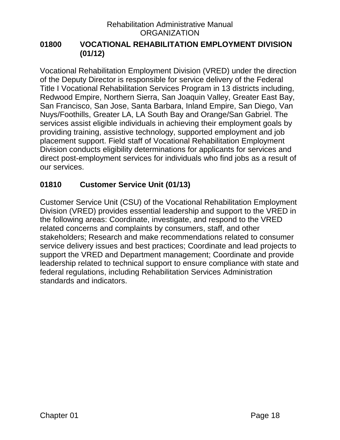#### <span id="page-19-0"></span>**01800 VOCATIONAL REHABILITATION EMPLOYMENT DIVISION (01/12)**

Vocational Rehabilitation Employment Division (VRED) under the direction of the Deputy Director is responsible for service delivery of the Federal Title I Vocational Rehabilitation Services Program in 13 districts including, Redwood Empire, Northern Sierra, San Joaquin Valley, Greater East Bay, San Francisco, San Jose, Santa Barbara, Inland Empire, San Diego, Van Nuys/Foothills, Greater LA, LA South Bay and Orange/San Gabriel. The services assist eligible individuals in achieving their employment goals by providing training, assistive technology, supported employment and job placement support. Field staff of Vocational Rehabilitation Employment Division conducts eligibility determinations for applicants for services and direct post-employment services for individuals who find jobs as a result of our services.

### <span id="page-19-1"></span>**01810 Customer Service Unit (01/13)**

Customer Service Unit (CSU) of the Vocational Rehabilitation Employment Division (VRED) provides essential leadership and support to the VRED in the following areas: Coordinate, investigate, and respond to the VRED related concerns and complaints by consumers, staff, and other stakeholders; Research and make recommendations related to consumer service delivery issues and best practices; Coordinate and lead projects to support the VRED and Department management; Coordinate and provide leadership related to technical support to ensure compliance with state and federal regulations, including Rehabilitation Services Administration standards and indicators.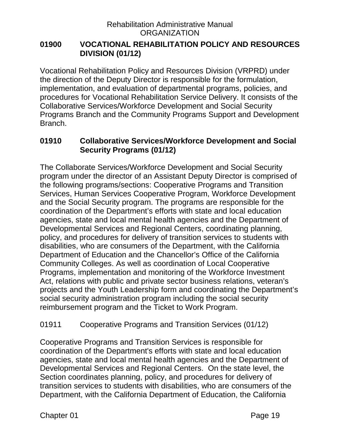#### <span id="page-20-0"></span>**01900 VOCATIONAL REHABILITATION POLICY AND RESOURCES DIVISION (01/12)**

Vocational Rehabilitation Policy and Resources Division (VRPRD) under the direction of the Deputy Director is responsible for the formulation, implementation, and evaluation of departmental programs, policies, and procedures for Vocational Rehabilitation Service Delivery. It consists of the Collaborative Services/Workforce Development and Social Security Programs Branch and the Community Programs Support and Development Branch.

#### <span id="page-20-1"></span>**01910 Collaborative Services/Workforce Development and Social Security Programs (01/12)**

The Collaborate Services/Workforce Development and Social Security program under the director of an Assistant Deputy Director is comprised of the following programs/sections: Cooperative Programs and Transition Services, Human Services Cooperative Program, Workforce Development and the Social Security program. The programs are responsible for the coordination of the Department's efforts with state and local education agencies, state and local mental health agencies and the Department of Developmental Services and Regional Centers, coordinating planning, policy, and procedures for delivery of transition services to students with disabilities, who are consumers of the Department, with the California Department of Education and the Chancellor's Office of the California Community Colleges. As well as coordination of Local Cooperative Programs, implementation and monitoring of the Workforce Investment Act, relations with public and private sector business relations, veteran's projects and the Youth Leadership form and coordinating the Department's social security administration program including the social security reimbursement program and the Ticket to Work Program.

### <span id="page-20-2"></span>01911 Cooperative Programs and Transition Services (01/12)

Cooperative Programs and Transition Services is responsible for coordination of the Department's efforts with state and local education agencies, state and local mental health agencies and the Department of Developmental Services and Regional Centers. On the state level, the Section coordinates planning, policy, and procedures for delivery of transition services to students with disabilities, who are consumers of the Department, with the California Department of Education, the California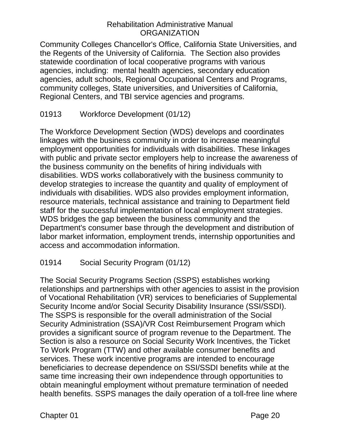Community Colleges Chancellor's Office, California State Universities, and the Regents of the University of California. The Section also provides statewide coordination of local cooperative programs with various agencies, including: mental health agencies, secondary education agencies, adult schools, Regional Occupational Centers and Programs, community colleges, State universities, and Universities of California, Regional Centers, and TBI service agencies and programs.

## <span id="page-21-0"></span>01913 Workforce Development (01/12)

The Workforce Development Section (WDS) develops and coordinates linkages with the business community in order to increase meaningful employment opportunities for individuals with disabilities. These linkages with public and private sector employers help to increase the awareness of the business community on the benefits of hiring individuals with disabilities. WDS works collaboratively with the business community to develop strategies to increase the quantity and quality of employment of individuals with disabilities. WDS also provides employment information, resource materials, technical assistance and training to Department field staff for the successful implementation of local employment strategies. WDS bridges the gap between the business community and the Department's consumer base through the development and distribution of labor market information, employment trends, internship opportunities and access and accommodation information.

### <span id="page-21-1"></span>01914 Social Security Program (01/12)

The Social Security Programs Section (SSPS) establishes working relationships and partnerships with other agencies to assist in the provision of Vocational Rehabilitation (VR) services to beneficiaries of Supplemental Security Income and/or Social Security Disability Insurance (SSI/SSDI). The SSPS is responsible for the overall administration of the Social Security Administration (SSA)/VR Cost Reimbursement Program which provides a significant source of program revenue to the Department. The Section is also a resource on Social Security Work Incentives, the Ticket To Work Program (TTW) and other available consumer benefits and services. These work incentive programs are intended to encourage beneficiaries to decrease dependence on SSI/SSDI benefits while at the same time increasing their own independence through opportunities to obtain meaningful employment without premature termination of needed health benefits. SSPS manages the daily operation of a toll-free line where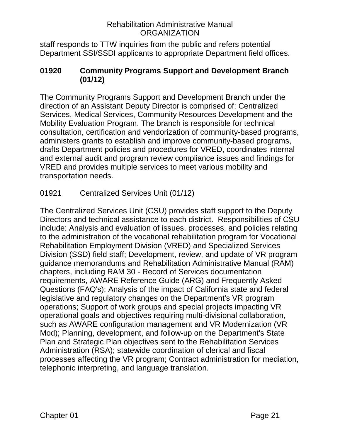staff responds to TTW inquiries from the public and refers potential Department SSI/SSDI applicants to appropriate Department field offices.

#### <span id="page-22-0"></span>**01920 Community Programs Support and Development Branch (01/12)**

The Community Programs Support and Development Branch under the direction of an Assistant Deputy Director is comprised of: Centralized Services, Medical Services, Community Resources Development and the Mobility Evaluation Program. The branch is responsible for technical consultation, certification and vendorization of community-based programs, administers grants to establish and improve community-based programs, drafts Department policies and procedures for VRED, coordinates internal and external audit and program review compliance issues and findings for VRED and provides multiple services to meet various mobility and transportation needs.

## <span id="page-22-1"></span>01921 Centralized Services Unit (01/12)

The Centralized Services Unit (CSU) provides staff support to the Deputy Directors and technical assistance to each district. Responsibilities of CSU include: Analysis and evaluation of issues, processes, and policies relating to the administration of the vocational rehabilitation program for Vocational Rehabilitation Employment Division (VRED) and Specialized Services Division (SSD) field staff; Development, review, and update of VR program guidance memorandums and Rehabilitation Administrative Manual (RAM) chapters, including RAM 30 - Record of Services documentation requirements, AWARE Reference Guide (ARG) and Frequently Asked Questions (FAQ's); Analysis of the impact of California state and federal legislative and regulatory changes on the Department's VR program operations; Support of work groups and special projects impacting VR operational goals and objectives requiring multi-divisional collaboration, such as AWARE configuration management and VR Modernization (VR Mod); Planning, development, and follow-up on the Department's State Plan and Strategic Plan objectives sent to the Rehabilitation Services Administration (RSA); statewide coordination of clerical and fiscal processes affecting the VR program; Contract administration for mediation, telephonic interpreting, and language translation.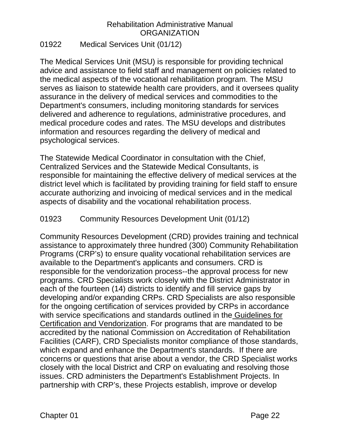#### <span id="page-23-0"></span>01922 Medical Services Unit (01/12)

The Medical Services Unit (MSU) is responsible for providing technical advice and assistance to field staff and management on policies related to the medical aspects of the vocational rehabilitation program. The MSU serves as liaison to statewide health care providers, and it oversees quality assurance in the delivery of medical services and commodities to the Department's consumers, including monitoring standards for services delivered and adherence to regulations, administrative procedures, and medical procedure codes and rates. The MSU develops and distributes information and resources regarding the delivery of medical and psychological services.

The Statewide Medical Coordinator in consultation with the Chief, Centralized Services and the Statewide Medical Consultants, is responsible for maintaining the effective delivery of medical services at the district level which is facilitated by providing training for field staff to ensure accurate authorizing and invoicing of medical services and in the medical aspects of disability and the vocational rehabilitation process.

### <span id="page-23-1"></span>01923 Community Resources Development Unit (01/12)

Community Resources Development (CRD) provides training and technical assistance to approximately three hundred (300) Community Rehabilitation Programs (CRP's) to ensure quality vocational rehabilitation services are available to the Department's applicants and consumers. CRD is responsible for the vendorization process--the approval process for new programs. CRD Specialists work closely with the District Administrator in each of the fourteen (14) districts to identify and fill service gaps by developing and/or expanding CRPs. CRD Specialists are also responsible for the ongoing certification of services provided by CRPs in accordance with service specifications and standards outlined in the Guidelines for Certification and Vendorization. For programs that are mandated to be accredited by the national Commission on Accreditation of Rehabilitation Facilities (CARF), CRD Specialists monitor compliance of those standards, which expand and enhance the Department's standards. If there are concerns or questions that arise about a vendor, the CRD Specialist works closely with the local District and CRP on evaluating and resolving those issues. CRD administers the Department's Establishment Projects. In partnership with CRP's, these Projects establish, improve or develop